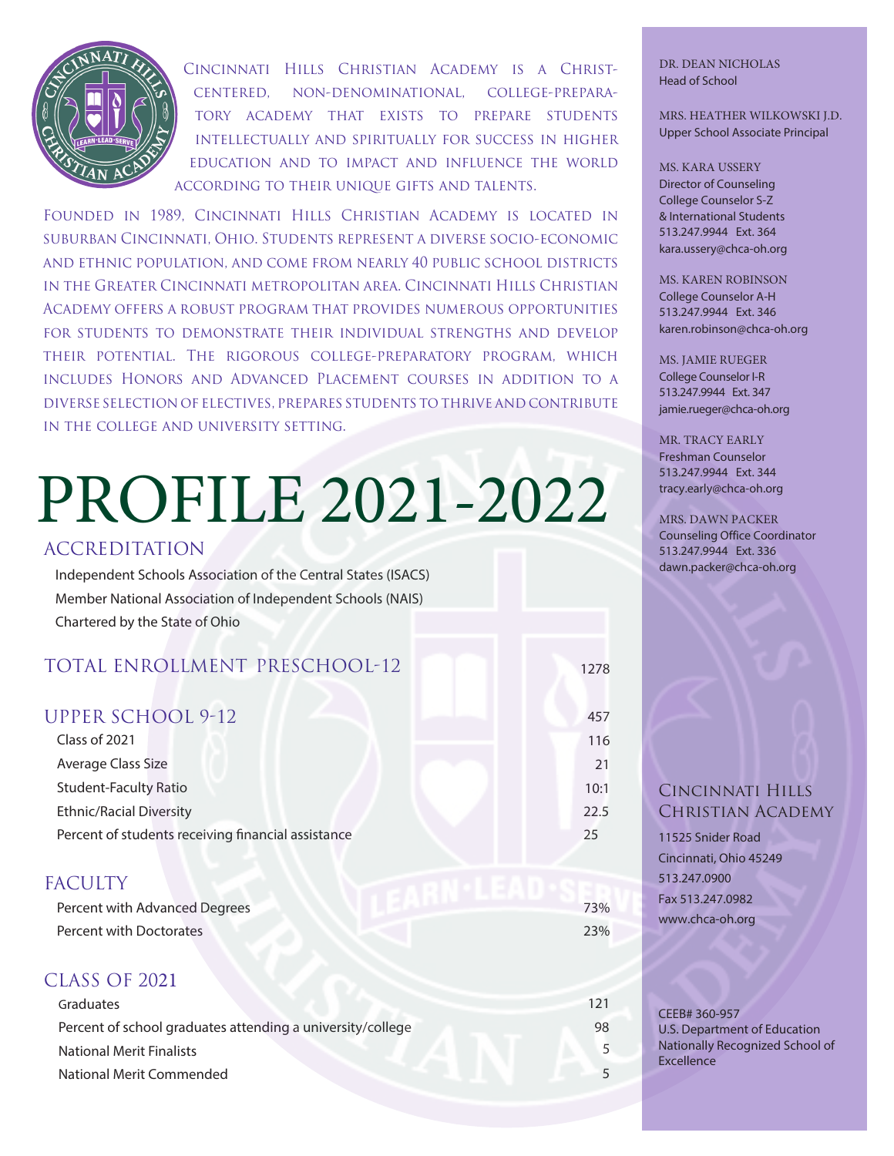

Cincinnati Hills Christian Academy is a Christcentered, non-denominational, college-preparatory academy that exists to prepare students intellectually and spiritually for success in higher education and to impact and influence the world according to their unique gifts and talents.

Founded in 1989, Cincinnati Hills Christian Academy is located in suburban Cincinnati, Ohio. Students represent a diverse socio-economic and ethnic population, and come from nearly 40 public school districts in the Greater Cincinnati metropolitan area. Cincinnati Hills Christian Academy offers a robust program that provides numerous opportunities for students to demonstrate their individual strengths and develop their potential. The rigorous college-preparatory program, which includes Honors and Advanced Placement courses in addition to a diverse selection of electives, prepares students to thrive and contribute in the college and university setting.

# PROFILE 2021-2022

#### ACCREDITATION

Independent Schools Association of the Central States (ISACS) Member National Association of Independent Schools (NAIS) Chartered by the State of Ohio

## TOTAL ENROLLMENT PRESCHOOL-12 1278

| <b>UPPER SCHOOL 9-12</b>                           | 457  |
|----------------------------------------------------|------|
| Class of 2021                                      | 116  |
| Average Class Size                                 | 21   |
| <b>Student-Faculty Ratio</b>                       | 10:1 |
| <b>Ethnic/Racial Diversity</b>                     | 19   |
| Percent of students receiving financial assistance | 33   |
|                                                    |      |

### FACULTY

| Percent with Advanced Degrees | 73% |
|-------------------------------|-----|
| Percent with Doctorates       | 23% |

#### CLASS OF 2021

| 98 |
|----|
|    |
|    |
|    |

DR. DEAN NICHOLAS Head of School

#### MRS. HEATHER WILKOWSKI J.D. Upper School Principal

MS. KARA USSERY Director of Counseling College Counselor S-Z & International Students 513.247.9944 Ext. 364 kara.ussery@chca-oh.org

MS. KAREN ROBINSON College Counselor A-H 513.247.9944 Ext. 346 karen.robinson@chca-oh.org

MS. JAMIE RUEGER College Counselor I-R 513.247.9944 Ext. 347 jamie.rueger@chca-oh.org

MR. TRACY EARLY Freshman Counselor 513.247.9944 Ext. 344 tracy.early@chca-oh.org

MRS. DAWN PACKER Counseling Office Coordinator 513.247.9944 Ext. 336 dawn.packer@chca-oh.org

#### Cincinnati Hills Christian Academy

11525 Snider Road Cincinnati, Ohio 45249 513.247.0900 www.chca-oh.org

CEEB# 360-957 U.S. Department of Education Nationally Recognized School of **Excellence**